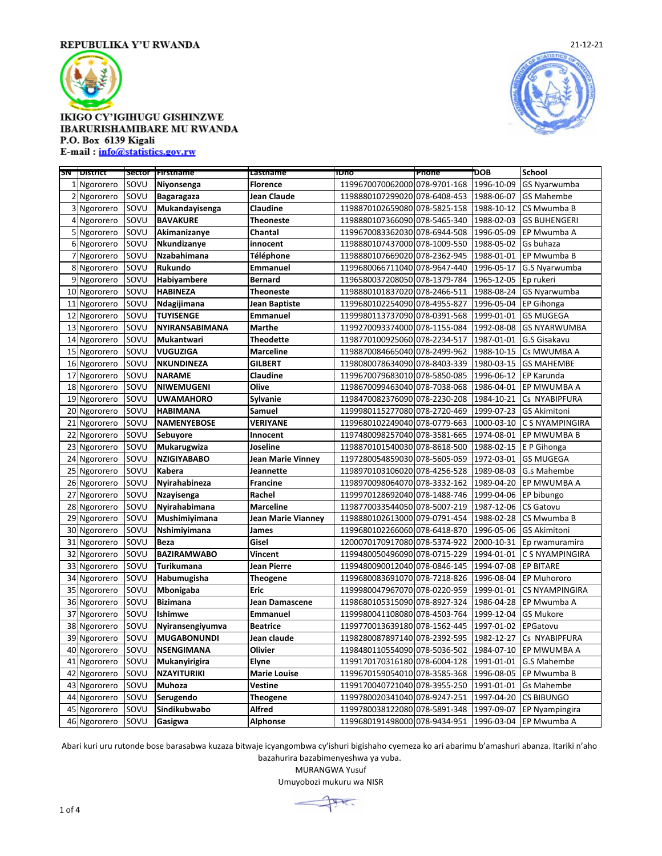

## **IKIGO CY'IGIHUGU GISHINZWE IBARURISHAMIBARE MU RWANDA** P.O. Box 6139 Kigali

E-mail: info@statistics.gov.rw

|                  | <b>SN District</b> |      | Sector   Firstname | Lastname              | TDno                          | Phone | 'DOB       | <b>School</b>          |
|------------------|--------------------|------|--------------------|-----------------------|-------------------------------|-------|------------|------------------------|
|                  | 1 Ngororero        | SOVU | Niyonsenga         | <b>Florence</b>       | 1199670070062000 078-9701-168 |       | 1996-10-09 | GS Nyarwumba           |
| $\overline{2}$   | Ngororero          | SOVU | <b>Bagaragaza</b>  | <b>Jean Claude</b>    | 1198880107299020 078-6408-453 |       | 1988-06-07 | <b>GS Mahembe</b>      |
|                  | 3 Ngororero        | SOVU | Mukandayisenga     | Claudine              | 1198870102659080 078-5825-158 |       | 1988-10-12 | CS Mwumba B            |
| 4                | Ngororero          | SOVU | <b>BAVAKURE</b>    | <b>Theoneste</b>      | 1198880107366090 078-5465-340 |       | 1988-02-03 | <b>GS BUHENGERI</b>    |
| 5                | Ngororero          | SOVU | Akimanizanye       | Chantal               | 1199670083362030 078-6944-508 |       | 1996-05-09 | EP Mwumba A            |
| $6 \overline{6}$ | Ngororero          | SOVU | Nkundizanye        | innocent              | 1198880107437000 078-1009-550 |       | 1988-05-02 | Gs buhaza              |
| 7                | Ngororero          | SOVU | Nzabahimana        | Téléphone             | 1198880107669020 078-2362-945 |       | 1988-01-01 | EP Mwumba B            |
| 8                | Ngororero          | SOVU | Rukundo            | <b>Emmanuel</b>       | 1199680066711040 078-9647-440 |       | 1996-05-17 | G.S Nyarwumba          |
| 9                | Ngororero          | SOVU | Habiyambere        | <b>Bernard</b>        | 1196580037208050 078-1379-784 |       | 1965-12-05 | Ep rukeri              |
| 10               | Ngororero          | SOVU | <b>HABINEZA</b>    | <b>Theoneste</b>      | 1198880101837020 078-2466-511 |       | 1988-08-24 | GS Nyarwumba           |
| 11               | Ngororero          | SOVU | Ndagijimana        | <b>Jean Baptiste</b>  | 1199680102254090 078-4955-827 |       | 1996-05-04 | <b>EP Gihonga</b>      |
| 12               | Ngororero          | SOVU | <b>TUYISENGE</b>   | <b>Emmanuel</b>       | 1199980113737090 078-0391-568 |       | 1999-01-01 | <b>GS MUGEGA</b>       |
| 13               | Ngororero          | SOVU | NYIRANSABIMANA     | <b>Marthe</b>         | 1199270093374000 078-1155-084 |       | 1992-08-08 | <b>GS NYARWUMBA</b>    |
| 14               | Ngororero          | SOVU | Mukantwari         | <b>Theodette</b>      | 1198770100925060 078-2234-517 |       | 1987-01-01 | G.S Gisakavu           |
| 15               | Ngororero          | SOVU | <b>VUGUZIGA</b>    | <b>Marceline</b>      | 1198870084665040 078-2499-962 |       | 1988-10-15 | Cs MWUMBA A            |
| 16               | Ngororero          | SOVU | <b>NKUNDINEZA</b>  | <b>GILBERT</b>        | 1198080078634090 078-8403-339 |       | 1980-03-15 | <b>GS MAHEMBE</b>      |
| 17               | Ngororero          | SOVU | <b>NARAME</b>      | Claudine              | 1199670079683010 078-5850-085 |       | 1996-06-12 | <b>EP Karunda</b>      |
| 18               | Ngororero          | SOVU | <b>NIWEMUGENI</b>  | Olive                 | 1198670099463040 078-7038-068 |       | 1986-04-01 | EP MWUMBA A            |
| 19               | Ngororero          | SOVU | <b>UWAMAHORO</b>   | Sylvanie              | 1198470082376090 078-2230-208 |       | 1984-10-21 | Cs NYABIPFURA          |
| 20               | Ngororero          | SOVU | <b>HABIMANA</b>    | Samuel                | 1199980115277080 078-2720-469 |       | 1999-07-23 | <b>GS Akimitoni</b>    |
| 21               | Ngororero          | SOVU | <b>NAMENYEBOSE</b> | <b>VERIYANE</b>       | 1199680102249040 078-0779-663 |       | 1000-03-10 | C S NYAMPINGIRA        |
| 22               | Ngororero          | SOVU | Sebuyore           | Innocent              | 1197480098257040 078-3581-665 |       | 1974-08-01 | EP MWUMBA B            |
| 23               | Ngororero          | SOVU | Mukarugwiza        | Joseline              | 1198870101540030 078-8618-500 |       | 1988-02-15 | E P Gihonga            |
| 24               | Ngororero          | SOVU | <b>NZIGIYABABO</b> | Jean Marie Vinney     | 1197280054859030 078-5605-059 |       | 1972-03-01 | <b>GS MUGEGA</b>       |
| 25               | Ngororero          | SOVU | <b>Kabera</b>      | Jeannette             | 1198970103106020 078-4256-528 |       | 1989-08-03 | G.s Mahembe            |
| 26               | Ngororero          | SOVU | Nyirahabineza      | <b>Francine</b>       | 1198970098064070 078-3332-162 |       | 1989-04-20 | EP MWUMBA A            |
| 27               | Ngororero          | SOVU | Nzayisenga         | Rachel                | 1199970128692040 078-1488-746 |       | 1999-04-06 | EP bibungo             |
| 28               | Ngororero          | SOVU | Nyirahabimana      | <b>Marceline</b>      | 1198770033544050 078-5007-219 |       | 1987-12-06 | <b>CS Gatovu</b>       |
| 29               | Ngororero          | SOVU | Mushimiyimana      | Jean Marie Vianney    | 1198880102613000 079-0791-454 |       | 1988-02-28 | CS Mwumba B            |
| 30               | Ngororero          | SOVU | Nshimiyimana       | <b>James</b>          | 1199680102266060 078-6418-870 |       | 1996-05-06 | <b>GS Akimitoni</b>    |
| 31               | Ngororero          | SOVU | <b>Beza</b>        | Gisel                 | 1200070170917080 078-5374-922 |       | 2000-10-31 | Ep rwamuramira         |
| 32               | Ngororero          | SOVU | <b>BAZIRAMWABO</b> | <b>Vincent</b>        | 1199480050496090 078-0715-229 |       | 1994-01-01 | C S NYAMPINGIRA        |
| 33               | Ngororero          | SOVU | Turikumana         | Jean Pierre           | 1199480090012040 078-0846-145 |       | 1994-07-08 | <b>EP BITARE</b>       |
| 34               | Ngororero          | SOVU | Habumugisha        | <b>Theogene</b>       | 1199680083691070 078-7218-826 |       | 1996-08-04 | <b>EP Muhororo</b>     |
| 35               | Ngororero          | SOVU | Mbonigaba          | Eric                  | 1199980047967070 078-0220-959 |       | 1999-01-01 | <b>CS NYAMPINGIRA</b>  |
| 36               | Ngororero          | SOVU | <b>Bizimana</b>    | <b>Jean Damascene</b> | 1198680105315090 078-8927-324 |       | 1986-04-28 | EP Mwumba A            |
| 37               | Ngororero          | SOVU | Ishimwe            | Emmanuel              | 1199980041108080 078-4503-764 |       | 1999-12-04 | <b>GS Mukore</b>       |
| 38               | Ngororero          | SOVU | Nyiransengiyumva   | <b>Beatrice</b>       | 1199770013639180 078-1562-445 |       | 1997-01-02 | EPGatovu               |
| 39               | Ngororero          | SOVU | <b>MUGABONUNDI</b> | Jean claude           | 1198280087897140 078-2392-595 |       | 1982-12-27 | Cs NYABIPFURA          |
| 40               | Ngororero          | SOVU | <b>NSENGIMANA</b>  | Olivier               | 1198480110554090 078-5036-502 |       | 1984-07-10 | EP MWUMBA A            |
| 41               | Ngororero          | SOVU | Mukanyirigira      | Elyne                 | 1199170170316180 078-6004-128 |       | 1991-01-01 | <b>G.S Mahembe</b>     |
| 42               | Ngororero          | SOVU | <b>NZAYITURIKI</b> | <b>Marie Louise</b>   | 1199670159054010 078-3585-368 |       | 1996-08-05 | EP Mwumba B            |
| 43               | Ngororero          | SOVU | Muhoza             | Vestine               | 1199170040721040 078-3955-250 |       | 1991-01-01 | <b>Gs Mahembe</b>      |
| 44               | Ngororero          | SOVU | Serugendo          | <b>Theogene</b>       | 1199780020341040 078-9247-251 |       | 1997-04-20 | <b>CS BIBUNGO</b>      |
| 45               | Ngororero          | SOVU | Sindikubwabo       | Alfred                | 1199780038122080 078-5891-348 |       | 1997-09-07 | EP Nyampingira         |
|                  | 46 Ngororero       | SOVU | Gasigwa            | Alphonse              | 1199680191498000 078-9434-951 |       |            | 1996-03-04 EP Mwumba A |

Abari kuri uru rutonde bose barasabwa kuzaza bitwaje icyangombwa cy'ishuri bigishaho cyemeza ko ari abarimu b'amashuri abanza. Itariki n'aho bazahurira bazabimenyeshwa ya vuba.

MURANGWA Yusuf

Umuyobozi mukuru wa NISR



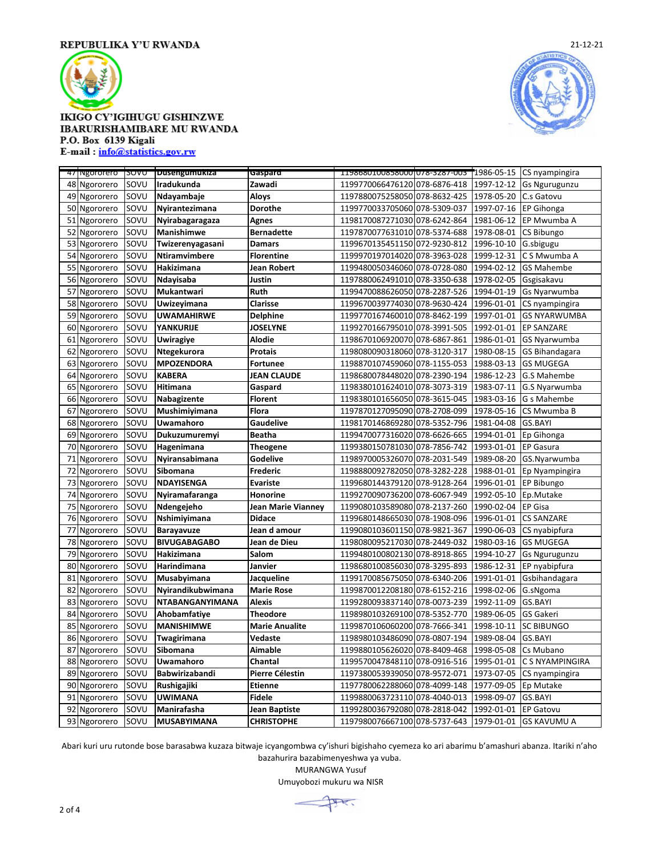

## **IKIGO CY'IGIHUGU GISHINZWE IBARURISHAMIBARE MU RWANDA** P.O. Box 6139 Kigali

E-mail: info@statistics.gov.rw

|    | 47 Ngororero SOVU |      | <b>Dusengumukiza</b>   | Gaspard                | 11986801008580001078-3287-003 1986-05-15 CS nyampingira |            |                      |
|----|-------------------|------|------------------------|------------------------|---------------------------------------------------------|------------|----------------------|
| 48 | Ngororero         | SOVU | Iradukunda             | Zawadi                 | 1199770066476120 078-6876-418                           | 1997-12-12 | <b>Gs Ngurugunzu</b> |
| 49 | Ngororero         | SOVU | Ndayambaje             | <b>Aloys</b>           | 1197880075258050 078-8632-425                           | 1978-05-20 | C.s Gatovu           |
|    | 50 Ngororero      | SOVU | Nyirantezimana         | <b>Dorothe</b>         | 1199770033705060 078-5309-037                           | 1997-07-16 | <b>EP Gihonga</b>    |
| 51 | Ngororero         | SOVU | Nyirabagaragaza        | <b>Agnes</b>           | 1198170087271030 078-6242-864                           | 1981-06-12 | EP Mwumba A          |
| 52 | Ngororero         | SOVU | Manishimwe             | <b>Bernadette</b>      | 1197870077631010 078-5374-688                           | 1978-08-01 | CS Bibungo           |
| 53 | Ngororero         | SOVU | Twizerenyagasani       | <b>Damars</b>          | 1199670135451150 072-9230-812                           | 1996-10-10 | G.sbigugu            |
| 54 | Ngororero         | SOVU | Ntiramvimbere          | <b>Florentine</b>      | 1199970197014020 078-3963-028                           | 1999-12-31 | C S Mwumba A         |
| 55 | Ngororero         | SOVU | Hakizimana             | Jean Robert            | 1199480050346060 078-0728-080                           | 1994-02-12 | <b>GS Mahembe</b>    |
| 56 | Ngororero         | SOVU | Ndayisaba              | Justin                 | 1197880062491010 078-3350-638                           | 1978-02-05 | Gsgisakavu           |
| 57 | Ngororero         | SOVU | Mukantwari             | Ruth                   | 1199470088626050 078-2287-526                           | 1994-01-19 | Gs Nyarwumba         |
| 58 | Ngororero         | SOVU | Uwizeyimana            | Clarisse               | 1199670039774030 078-9630-424                           | 1996-01-01 | CS nyampingira       |
| 59 | Ngororero         | SOVU | <b>UWAMAHIRWE</b>      | <b>Delphine</b>        | 1199770167460010 078-8462-199                           | 1997-01-01 | <b>GS NYARWUMBA</b>  |
| 60 | Ngororero         | SOVU | YANKURIJE              | <b>JOSELYNE</b>        | 1199270166795010 078-3991-505                           | 1992-01-01 | <b>EP SANZARE</b>    |
| 61 | Ngororero         | SOVU | <b>Uwiragiye</b>       | Alodie                 | 1198670106920070 078-6867-861                           | 1986-01-01 | GS Nyarwumba         |
| 62 | Ngororero         | SOVU | Ntegekurora            | <b>Protais</b>         | 1198080090318060 078-3120-317                           | 1980-08-15 | GS Bihandagara       |
| 63 | Ngororero         | SOVU | <b>MPOZENDORA</b>      | <b>Fortunee</b>        | 1198870107459060 078-1155-053                           | 1988-03-13 | <b>GS MUGEGA</b>     |
| 64 | Ngororero         | SOVU | <b>KABERA</b>          | <b>JEAN CLAUDE</b>     | 1198680078448020 078-2390-194                           | 1986-12-23 | G.S Mahembe          |
| 65 | Ngororero         | SOVU | Hitimana               | Gaspard                | 1198380101624010 078-3073-319                           | 1983-07-11 | G.S Nyarwumba        |
|    | 66 Ngororero      | SOVU | Nabagizente            | <b>Florent</b>         | 1198380101656050 078-3615-045                           | 1983-03-16 | G s Mahembe          |
| 67 | Ngororero         | SOVU | Mushimiyimana          | Flora                  | 1197870127095090 078-2708-099                           | 1978-05-16 | CS Mwumba B          |
| 68 | Ngororero         | SOVU | <b>Uwamahoro</b>       | Gaudelive              | 1198170146869280 078-5352-796                           | 1981-04-08 | <b>GS.BAYI</b>       |
| 69 | Ngororero         | SOVU | Dukuzumuremyi          | <b>Beatha</b>          | 1199470077316020 078-6626-665                           | 1994-01-01 | Ep Gihonga           |
| 70 | Ngororero         | SOVU | Hagenimana             | <b>Theogene</b>        | 1199380150781030 078-7856-742                           | 1993-01-01 | <b>EP Gasura</b>     |
| 71 | Ngororero         | SOVU | Nyiransabimana         | Godelive               | 1198970005326070 078-2031-549                           | 1989-08-20 | GS.Nyarwumba         |
| 72 | Ngororero         | SOVU | Sibomana               | Frederic               | 1198880092782050 078-3282-228                           | 1988-01-01 | Ep Nyampingira       |
| 73 | Ngororero         | SOVU | NDAYISENGA             | <b>Evariste</b>        | 1199680144379120 078-9128-264                           | 1996-01-01 | EP Bibungo           |
| 74 | Ngororero         | SOVU | Nyiramafaranga         | Honorine               | 1199270090736200 078-6067-949                           | 1992-05-10 | Ep.Mutake            |
| 75 | Ngororero         | SOVU | Ndengejeho             | Jean Marie Vianney     | 1199080103589080 078-2137-260                           | 1990-02-04 | <b>EP Gisa</b>       |
| 76 | Ngororero         | SOVU | Nshimiyimana           | <b>Didace</b>          | 1199680148665030 078-1908-096                           | 1996-01-01 | <b>CS SANZARE</b>    |
| 77 | Ngororero         | SOVU | <b>Barayavuze</b>      | Jean d amour           | 1199080103601150 078-9821-367                           | 1990-06-03 | CS nyabipfura        |
| 78 | Ngororero         | SOVU | <b>BIVUGABAGABO</b>    | Jean de Dieu           | 1198080095217030 078-2449-032                           | 1980-03-16 | <b>GS MUGEGA</b>     |
| 79 | Ngororero         | SOVU | Hakizimana             | Salom                  | 1199480100802130 078-8918-865                           | 1994-10-27 | <b>Gs Ngurugunzu</b> |
| 80 | Ngororero         | SOVU | Harindimana            | Janvier                | 1198680100856030 078-3295-893                           | 1986-12-31 | EP nyabipfura        |
| 81 | Ngororero         | SOVU | Musabyimana            | Jacqueline             | 1199170085675050 078-6340-206                           | 1991-01-01 | Gsbihandagara        |
| 82 | Ngororero         | SOVU | Nyirandikubwimana      | <b>Marie Rose</b>      | 1199870012208180 078-6152-216                           | 1998-02-06 | G.sNgoma             |
| 83 | Ngororero         | SOVU | <b>NTABANGANYIMANA</b> | <b>Alexis</b>          | 1199280093837140 078-0073-239                           | 1992-11-09 | GS.BAYI              |
| 84 | Ngororero         | SOVU | Ahobamfatiye           | <b>Theodore</b>        | 1198980103269100 078-5352-770                           | 1989-06-05 | GS Gakeri            |
| 85 | Ngororero         | SOVU | <b>MANISHIMWE</b>      | <b>Marie Anualite</b>  | 1199870106060200 078-7666-341                           | 1998-10-11 | <b>SC BIBUNGO</b>    |
| 86 | Ngororero         | SOVU | Twagirimana            | Vedaste                | 1198980103486090 078-0807-194                           | 1989-08-04 | <b>GS.BAYI</b>       |
| 87 | Ngororero         | SOVU | Sibomana               | Aimable                | 1199880105626020 078-8409-468                           | 1998-05-08 | Cs Mubano            |
| 88 | Ngororero         | SOVU | Uwamahoro              | Chantal                | 1199570047848110 078-0916-516                           | 1995-01-01 | C S NYAMPINGIRA      |
| 89 | Ngororero         | SOVU | Babwirizabandi         | <b>Pierre Célestin</b> | 1197380053939050 078-9572-071                           | 1973-07-05 | CS nyampingira       |
| 90 | Ngororero         | SOVU | Rushigajiki            | <b>Etienne</b>         | 1197780062288060 078-4099-148                           | 1977-09-05 | Ep Mutake            |
| 91 | Ngororero         | SOVU | <b>UWIMANA</b>         | <b>Fidele</b>          | 1199880063723110 078-4040-013                           | 1998-09-07 | GS.BAYI              |
| 92 | Ngororero         | SOVU | Manirafasha            | <b>Jean Baptiste</b>   | 1199280036792080 078-2818-042                           | 1992-01-01 | <b>EP Gatovu</b>     |
|    | 93 Ngororero      | SOVU | <b>MUSABYIMANA</b>     | <b>CHRISTOPHE</b>      | 1197980076667100 078-5737-643                           | 1979-01-01 | <b>GS KAVUMU A</b>   |

Abari kuri uru rutonde bose barasabwa kuzaza bitwaje icyangombwa cy'ishuri bigishaho cyemeza ko ari abarimu b'amashuri abanza. Itariki n'aho bazahurira bazabimenyeshwa ya vuba.

MURANGWA Yusuf

Umuyobozi mukuru wa NISR



21-12-21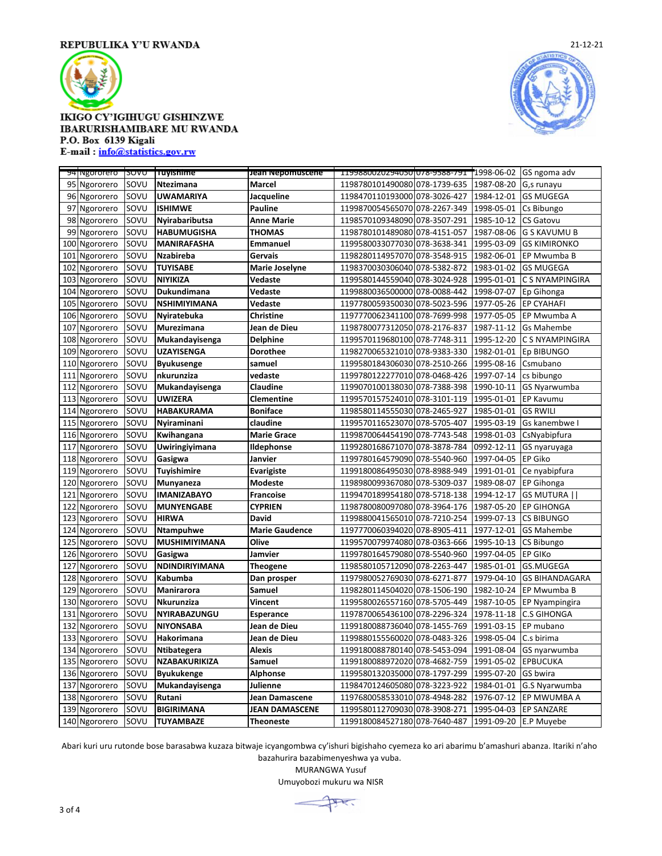

## **IKIGO CY'IGIHUGU GISHINZWE** IBARURISHAMIBARE MU RWANDA P.O. Box 6139 Kigali

E-mail: info@statistics.gov.rw

|     | 94 Ngororero SOVU |      | Tuyishime             | Jean Nepomuscene      | 11998800202940501078-9588-791 1998-06-02 GS ngoma adv |                       |                       |
|-----|-------------------|------|-----------------------|-----------------------|-------------------------------------------------------|-----------------------|-----------------------|
|     | 95 Ngororero      | SOVU | Ntezimana             | Marcel                | 1198780101490080 078-1739-635                         | 1987-08-20 G,s runayu |                       |
| 96  | Ngororero         | SOVU | <b>UWAMARIYA</b>      | Jacqueline            | 1198470110193000 078-3026-427                         | 1984-12-01            | <b>GS MUGEGA</b>      |
| 97  | Ngororero         | SOVU | <b>ISHIMWE</b>        | <b>Pauline</b>        | 1199870054565070 078-2267-349                         | 1998-05-01            | Cs Bibungo            |
| 98  | Ngororero         | SOVU | Nyirabaributsa        | <b>Anne Marie</b>     | 1198570109348090 078-3507-291                         | 1985-10-12            | <b>CS Gatovu</b>      |
| 99  | Ngororero         | SOVU | <b>HABUMUGISHA</b>    | <b>THOMAS</b>         | 1198780101489080 078-4151-057                         | 1987-08-06            | <b>G S KAVUMU B</b>   |
| 100 | Ngororero         | SOVU | <b>MANIRAFASHA</b>    | <b>Emmanuel</b>       | 1199580033077030 078-3638-341                         | 1995-03-09            | <b>GS KIMIRONKO</b>   |
| 101 | Ngororero         | SOVU | <b>Nzabireba</b>      | Gervais               | 1198280114957070 078-3548-915                         | 1982-06-01            | EP Mwumba B           |
| 102 | Ngororero         | SOVU | <b>TUYISABE</b>       | Marie Joselyne        | 1198370030306040 078-5382-872                         | 1983-01-02            | <b>GS MUGEGA</b>      |
| 103 | Ngororero         | SOVU | <b>NIYIKIZA</b>       | Vedaste               | 1199580144559040 078-3024-928                         | 1995-01-01            | C S NYAMPINGIRA       |
| 104 | Ngororero         | SOVU | Dukundimana           | Vedaste               | 1199880036500000 078-0088-442                         | 1998-07-07            | Ep Gihonga            |
| 105 | Ngororero         | SOVU | <b>NSHIMIYIMANA</b>   | Vedaste               | 1197780059350030 078-5023-596                         | 1977-05-26            | <b>EP CYAHAFI</b>     |
| 106 | Ngororero         | SOVU | Nyiratebuka           | <b>Christine</b>      | 1197770062341100 078-7699-998                         | 1977-05-05            | EP Mwumba A           |
| 107 | Ngororero         | SOVU | Murezimana            | Jean de Dieu          | 1198780077312050 078-2176-837                         | 1987-11-12            | <b>Gs Mahembe</b>     |
| 108 | Ngororero         | SOVU | Mukandayisenga        | <b>Delphine</b>       | 1199570119680100 078-7748-311                         | 1995-12-20            | C S NYAMPINGIRA       |
| 109 | Ngororero         | SOVU | <b>UZAYISENGA</b>     | <b>Dorothee</b>       | 1198270065321010 078-9383-330                         | 1982-01-01            | Ep BIBUNGO            |
| 110 | Ngororero         | SOVU | <b>Byukusenge</b>     | samuel                | 1199580184306030 078-2510-266                         | 1995-08-16            | Csmubano              |
| 111 | Ngororero         | SOVU | nkurunziza            | vedaste               | 1199780122277010 078-0468-426                         | 1997-07-14            | cs bibungo            |
| 112 | Ngororero         | SOVU | Mukandayisenga        | Claudine              | 1199070100138030 078-7388-398                         | 1990-10-11            | GS Nyarwumba          |
| 113 | Ngororero         | SOVU | <b>UWIZERA</b>        | <b>Clementine</b>     | 1199570157524010 078-3101-119                         | 1995-01-01            | EP Kavumu             |
| 114 | Ngororero         | SOVU | <b>HABAKURAMA</b>     | <b>Boniface</b>       | 1198580114555030 078-2465-927                         | 1985-01-01            | <b>GS RWILI</b>       |
| 115 | Ngororero         | SOVU | Nyiraminani           | claudine              | 1199570116523070 078-5705-407                         | 1995-03-19            | Gs kanembwe I         |
| 116 | Ngororero         | SOVU | Kwihangana            | <b>Marie Grace</b>    | 1199870064454190 078-7743-548                         | 1998-01-03            | CsNyabipfura          |
| 117 | Ngororero         | SOVU | Uwiringiyimana        | Ildephonse            | 1199280168671070 078-3878-784                         | 0992-12-11            | GS nyaruyaga          |
| 118 | Ngororero         | SOVU | Gasigwa               | Janvier               | 1199780164579090 078-5540-960                         | 1997-04-05            | EP Giko               |
| 119 | Ngororero         | SOVU | Tuyishimire           | Evarigiste            | 1199180086495030 078-8988-949                         | 1991-01-01            | Ce nyabipfura         |
| 120 | Ngororero         | SOVU | Munyaneza             | <b>Modeste</b>        | 1198980099367080 078-5309-037                         | 1989-08-07            | EP Gihonga            |
| 121 | Ngororero         | SOVU | <b>IMANIZABAYO</b>    | <b>Francoise</b>      | 1199470189954180 078-5718-138                         | 1994-12-17            | <b>GS MUTURA   </b>   |
| 122 | Ngororero         | SOVU | <b>MUNYENGABE</b>     | <b>CYPRIEN</b>        | 1198780080097080 078-3964-176                         | 1987-05-20            | <b>EP GIHONGA</b>     |
| 123 | Ngororero         | SOVU | <b>HIRWA</b>          | <b>David</b>          | 1199880041565010 078-7210-254                         | 1999-07-13            | <b>CS BIBUNGO</b>     |
| 124 | Ngororero         | SOVU | Ntampuhwe             | <b>Marie Gaudence</b> | 1197770060394020 078-8905-411                         | 1977-12-01            | <b>GS Mahembe</b>     |
| 125 | Ngororero         | SOVU | <b>MUSHIMIYIMANA</b>  | Olive                 | 1199570079974080 078-0363-666                         | 1995-10-13            | CS Bibungo            |
| 126 | Ngororero         | SOVU | Gasigwa               | Jamvier               | 1199780164579080 078-5540-960                         | 1997-04-05            | <b>EP GIKO</b>        |
| 127 | Ngororero         | SOVU | <b>NDINDIRIYIMANA</b> | <b>Theogene</b>       | 1198580105712090 078-2263-447                         | 1985-01-01            | GS.MUGEGA             |
| 128 | Ngororero         | SOVU | Kabumba               | Dan prosper           | 1197980052769030 078-6271-877                         | 1979-04-10            | <b>GS BIHANDAGARA</b> |
| 129 | Ngororero         | SOVU | Manirarora            | Samuel                | 1198280114504020 078-1506-190                         | 1982-10-24            | EP Mwumba B           |
| 130 | Ngororero         | SOVU | Nkurunziza            | Vincent               | 1199580026557160 078-5705-449                         | 1987-10-05            | <b>EP Nyampingira</b> |
| 131 | Ngororero         | SOVU | NYIRABAZUNGU          | Esperance             | 1197870065436100 078-2296-324                         | 1978-11-18            | <b>C.S GIHONGA</b>    |
| 132 | Ngororero         | SOVU | <b>NIYONSABA</b>      | Jean de Dieu          | 1199180088736040 078-1455-769                         | 1991-03-15            | EP mubano             |
| 133 | Ngororero         | SOVU | Hakorimana            | Jean de Dieu          | 1199880155560020 078-0483-326                         | 1998-05-04            | C.s birima            |
| 134 | Ngororero         | SOVU | Ntibategera           | <b>Alexis</b>         | 1199180088780140 078-5453-094                         | 1991-08-04            | GS nyarwumba          |
| 135 | Ngororero         | SOVU | NZABAKURIKIZA         | Samuel                | 1199180088972020 078-4682-759                         | 1991-05-02            | <b>EPBUCUKA</b>       |
| 136 | Ngororero         | SOVU | <b>Byukukenge</b>     | <b>Alphonse</b>       | 1199580132035000 078-1797-299                         | 1995-07-20            | GS bwira              |
| 137 | Ngororero         | SOVU | Mukandayisenga        | Julienne              | 1198470124605080 078-3223-922                         | 1984-01-01            | G.S Nyarwumba         |
| 138 | Ngororero         | SOVU | Rutani                | Jean Damascene        | 1197680058533010 078-4948-282                         | 1976-07-12            | EP MWUMBA A           |
| 139 | Ngororero         | SOVU | <b>BIGIRIMANA</b>     | <b>JEAN DAMASCENE</b> | 1199580112709030 078-3908-271                         | 1995-04-03            | <b>EP SANZARE</b>     |
|     | 140 Ngororero     | SOVU | <b>TUYAMBAZE</b>      | <b>Theoneste</b>      | 1199180084527180 078-7640-487 1991-09-20 E.P Muyebe   |                       |                       |

21-12-21

Abari kuri uru rutonde bose barasabwa kuzaza bitwaje icyangombwa cy'ishuri bigishaho cyemeza ko ari abarimu b'amashuri abanza. Itariki n'aho

bazahurira bazabimenyeshwa ya vuba. MURANGWA Yusuf

Umuyobozi mukuru wa NISR